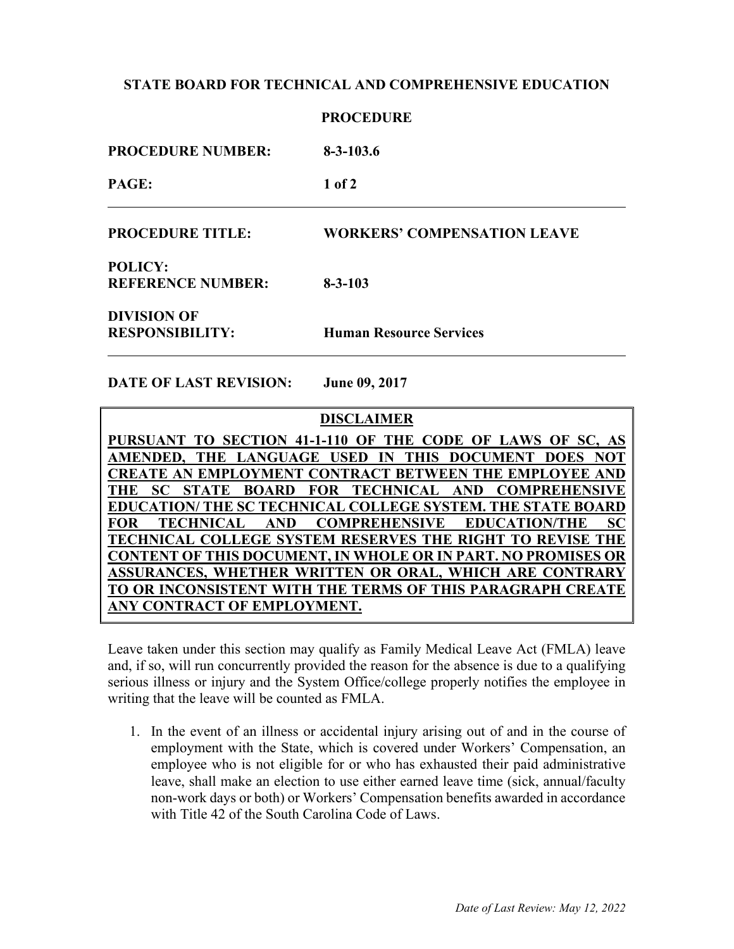## **STATE BOARD FOR TECHNICAL AND COMPREHENSIVE EDUCATION**

|                                              | <b>PROCEDURE</b>                   |
|----------------------------------------------|------------------------------------|
| <b>PROCEDURE NUMBER:</b>                     | $8 - 3 - 103.6$                    |
| PAGE:                                        | $1$ of $2$                         |
| <b>PROCEDURE TITLE:</b>                      | <b>WORKERS' COMPENSATION LEAVE</b> |
| <b>POLICY:</b><br><b>REFERENCE NUMBER:</b>   | $8 - 3 - 103$                      |
| <b>DIVISION OF</b><br><b>RESPONSIBILITY:</b> | <b>Human Resource Services</b>     |

**DATE OF LAST REVISION: June 09, 2017**

**DISCLAIMER**

PURSUANT TO SECTION 41-1-110 OF THE CODE OF LAWS OF SC, **AMENDED, THE LANGUAGE USED IN THIS DOCUMENT DOES NOT CREATE AN EMPLOYMENT CONTRACT BETWEEN THE EMPLOYEE AND THE SC STATE BOARD FOR TECHNICAL AND COMPREHENSIVE EDUCATION/ THE SC TECHNICAL COLLEGE SYSTEM. THE STATE BOARD FOR TECHNICAL AND COMPREHENSIVE EDUCATION/THE SC TECHNICAL COLLEGE SYSTEM RESERVES THE RIGHT TO REVISE THE CONTENT OF THIS DOCUMENT, IN WHOLE OR IN PART. NO PROMISES OR ASSURANCES, WHETHER WRITTEN OR ORAL, WHICH ARE CONTRARY TO OR INCONSISTENT WITH THE TERMS OF THIS PARAGRAPH CREATE ANY CONTRACT OF EMPLOYMENT.**

Leave taken under this section may qualify as Family Medical Leave Act (FMLA) leave and, if so, will run concurrently provided the reason for the absence is due to a qualifying serious illness or injury and the System Office/college properly notifies the employee in writing that the leave will be counted as FMLA.

1. In the event of an illness or accidental injury arising out of and in the course of employment with the State, which is covered under Workers' Compensation, an employee who is not eligible for or who has exhausted their paid administrative leave, shall make an election to use either earned leave time (sick, annual/faculty non-work days or both) or Workers' Compensation benefits awarded in accordance with Title 42 of the South Carolina Code of Laws.